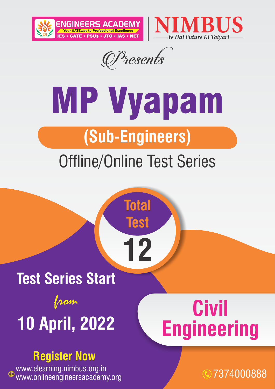



Presents

# MP Vyapam **(Sub-Engineers)**

### Offline/Online Test Series

**Total** 

**Test**

**12**

### **Test Series Start**  from **10 April, 2022**

### **Register Now**

www.elearning.nimbus.org.in www.onlineengineersacademy.org 7374000888

## **Civil Engineering**